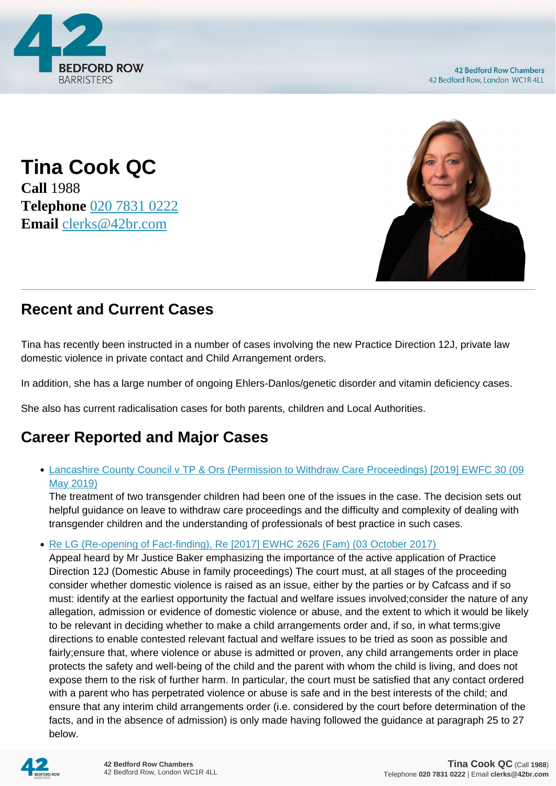

**42 Bedford Row Chambers** 42 Bedford Row, London WC1R 4LL

**Tina Cook QC Call** 1988 **Telephone** [020 7831 0222](https://pdf.codeshore.co/_42br/tel:020 7831 0222) **Email** [clerks@42br.com](mailto:clerks@42br.com)



# **Recent and Current Cases**

Tina has recently been instructed in a number of cases involving the new Practice Direction 12J, private law domestic violence in private contact and Child Arrangement orders.

In addition, she has a large number of ongoing Ehlers-Danlos/genetic disorder and vitamin deficiency cases.

She also has current radicalisation cases for both parents, children and Local Authorities.

# **Career Reported and Major Cases**

## [Lancashire County Council v TP & Ors \(Permission to Withdraw Care Proceedings\) \[2019\] EWFC 30 \(09](https://www.42br.com/latest-news/lancashire-county-council-v-tp-and-ors-permission-to-withdraw-care-proceedings-2019.htm) [May 2019\)](https://www.42br.com/latest-news/lancashire-county-council-v-tp-and-ors-permission-to-withdraw-care-proceedings-2019.htm)

The treatment of two transgender children had been one of the issues in the case. The decision sets out helpful guidance on leave to withdraw care proceedings and the difficulty and complexity of dealing with transgender children and the understanding of professionals of best practice in such cases.

• Re LG (Re-opening of Fact-finding), Re [2017] EWHC 2626 (Fam) (03 October 2017)

Appeal heard by Mr Justice Baker emphasizing the importance of the active application of Practice Direction 12J (Domestic Abuse in family proceedings) The court must, at all stages of the proceeding consider whether domestic violence is raised as an issue, either by the parties or by Cafcass and if so must: identify at the earliest opportunity the factual and welfare issues involved;consider the nature of any allegation, admission or evidence of domestic violence or abuse, and the extent to which it would be likely to be relevant in deciding whether to make a child arrangements order and, if so, in what terms;give directions to enable contested relevant factual and welfare issues to be tried as soon as possible and fairly;ensure that, where violence or abuse is admitted or proven, any child arrangements order in place protects the safety and well-being of the child and the parent with whom the child is living, and does not expose them to the risk of further harm. In particular, the court must be satisfied that any contact ordered with a parent who has perpetrated violence or abuse is safe and in the best interests of the child; and ensure that any interim child arrangements order (i.e. considered by the court before determination of the facts, and in the absence of admission) is only made having followed the guidance at paragraph 25 to 27 below.